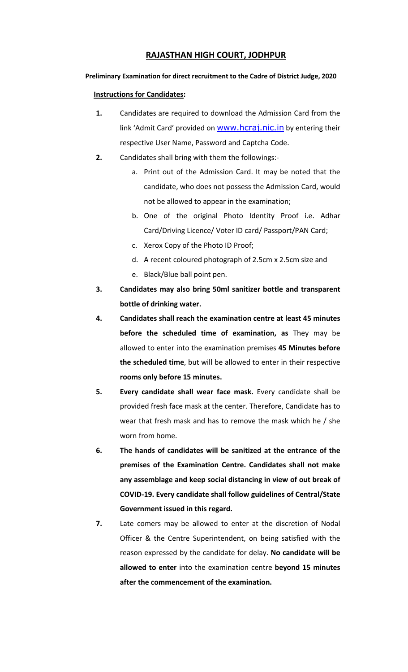## **RAJASTHAN HIGH COURT, JODHPUR**

## **Preliminary Examination for direct recruitment to the Cadre of District Judge, 2020**

## **Instructions for Candidates:**

- **1.** Candidates are required to download the Admission Card from the link 'Admit Card' provided on **WWW.hcraj.nic.in** by entering their respective User Name, Password and Captcha Code.
- **2.** Candidates shall bring with them the followings:
	- a. Print out of the Admission Card. It may be noted that the candidate, who does not possess the Admission Card, would not be allowed to appear in the examination;
	- b. One of the original Photo Identity Proof i.e. Adhar Card/Driving Licence/ Voter ID card/ Passport/PAN Card;
	- c. Xerox Copy of the Photo ID Proof;
	- d. A recent coloured photograph of 2.5cm x 2.5cm size and
	- e. Black/Blue ball point pen.
- **3. Candidates may also bring 50ml sanitizer bottle and transparent bottle of drinking water.**
- **4. Candidates shall reach the examination centre at least 45 minutes before the scheduled time of examination, as** They may be allowed to enter into the examination premises **45 Minutes before the scheduled time**, but will be allowed to enter in their respective **rooms only before 15 minutes.**
- **5. Every candidate shall wear face mask.** Every candidate shall be provided fresh face mask at the center. Therefore, Candidate has to wear that fresh mask and has to remove the mask which he / she worn from home.
- **6. The hands of candidates will be sanitized at the entrance of the premises of the Examination Centre. Candidates shall not make any assemblage and keep social distancing in view of out break of COVID-19. Every candidate shall follow guidelines of Central/State Government issued in this regard.**
- **7.** Late comers may be allowed to enter at the discretion of Nodal Officer & the Centre Superintendent, on being satisfied with the reason expressed by the candidate for delay. **No candidate will be allowed to enter** into the examination centre **beyond 15 minutes after the commencement of the examination.**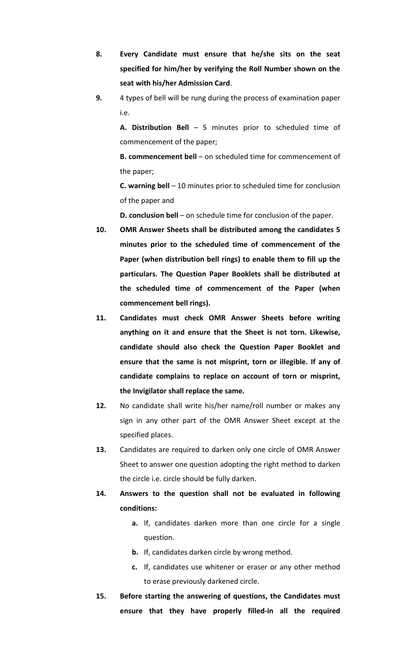- **8. Every Candidate must ensure that he/she sits on the seat specified for him/her by verifying the Roll Number shown on the seat with his/her Admission Card**.
- **9.** 4 types of bell will be rung during the process of examination paper i.e.

**A. Distribution Bell** – 5 minutes prior to scheduled time of commencement of the paper;

**B. commencement bell** – on scheduled time for commencement of the paper;

**C. warning bell** – 10 minutes prior to scheduled time for conclusion of the paper and

**D. conclusion bell** – on schedule time for conclusion of the paper.

- **10. OMR Answer Sheets shall be distributed among the candidates 5 minutes prior to the scheduled time of commencement of the Paper (when distribution bell rings) to enable them to fill up the particulars. The Question Paper Booklets shall be distributed at the scheduled time of commencement of the Paper (when commencement bell rings).**
- **11. Candidates must check OMR Answer Sheets before writing anything on it and ensure that the Sheet is not torn. Likewise, candidate should also check the Question Paper Booklet and ensure that the same is not misprint, torn or illegible. If any of candidate complains to replace on account of torn or misprint, the Invigilator shall replace the same.**
- **12.** No candidate shall write his/her name/roll number or makes any sign in any other part of the OMR Answer Sheet except at the specified places.
- **13.** Candidates are required to darken only one circle of OMR Answer Sheet to answer one question adopting the right method to darken the circle i.e. circle should be fully darken.
- **14. Answers to the question shall not be evaluated in following conditions:** 
	- **a.** If, candidates darken more than one circle for a single question.
	- **b.** If, candidates darken circle by wrong method.
	- **c.** If, candidates use whitener or eraser or any other method to erase previously darkened circle.
- **15. Before starting the answering of questions, the Candidates must ensure that they have properly filled-in all the required**